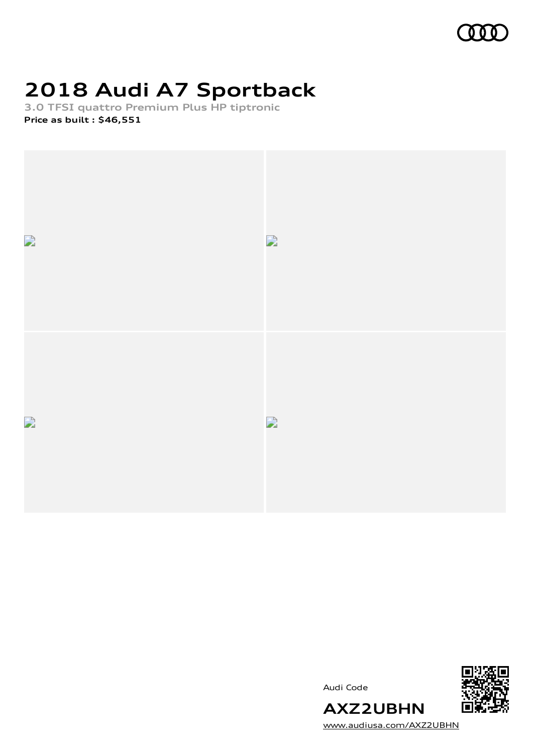

# **2018 Audi A7 Sportback**

**3.0 TFSI quattro Premium Plus HP tiptronic Price as built [:](#page-10-0) \$46,551**



Audi Code



[www.audiusa.com/AXZ2UBHN](https://www.audiusa.com/AXZ2UBHN)

**AXZ2UBHN**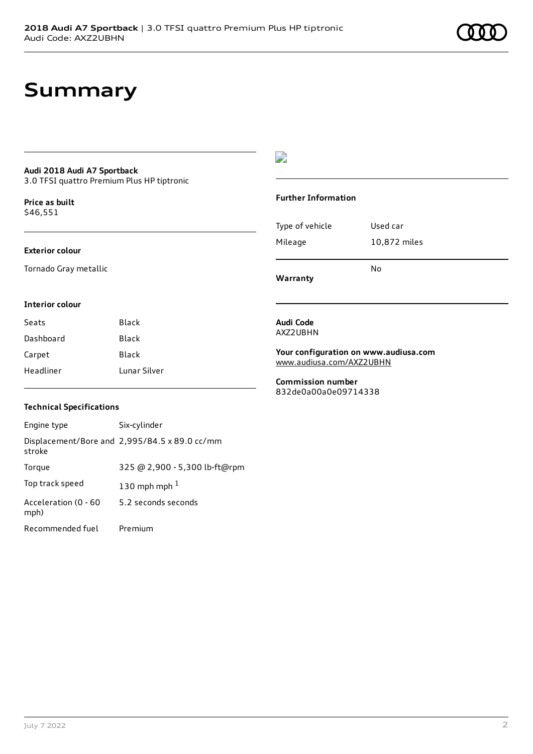# **Summary**

# **Audi 2018 Audi A7 Sportback**

3.0 TFSI quattro Premium Plus HP tiptronic

**Price as buil[t](#page-10-0)** \$46,551

### **Exterior colour**

Tornado Gray metallic

# $\overline{\phantom{a}}$

## **Further Information**

|                 | N٥           |
|-----------------|--------------|
| Mileage         | 10,872 miles |
| Type of vehicle | Used car     |

**Warranty**

## **Interior colour**

| Seats     | Black        |
|-----------|--------------|
| Dashboard | Black        |
| Carpet    | Black        |
| Headliner | Lunar Silver |

## **Technical Specifications**

| Engine type                  | Six-cylinder                                  |
|------------------------------|-----------------------------------------------|
| stroke                       | Displacement/Bore and 2,995/84.5 x 89.0 cc/mm |
| Torque                       | 325 @ 2,900 - 5,300 lb-ft@rpm                 |
| Top track speed              | 130 mph mph $1$                               |
| Acceleration (0 - 60<br>mph) | 5.2 seconds seconds                           |
| Recommended fuel             | Premium                                       |

### **Audi Code** AXZ2UBHN

**Your configuration on www.audiusa.com** [www.audiusa.com/AXZ2UBHN](https://www.audiusa.com/AXZ2UBHN)

**Commission number** 832de0a00a0e09714338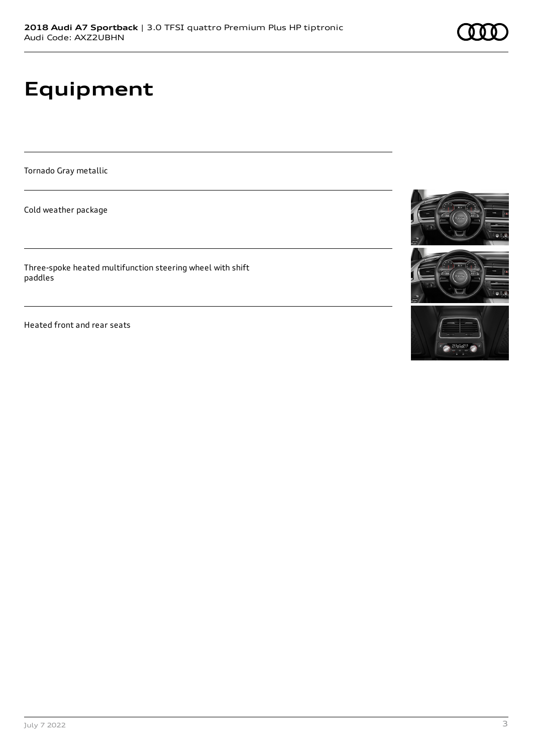# **Equipment**

Tornado Gray metallic

Cold weather package

Three-spoke heated multifunction steering wheel with shift paddles

Heated front and rear seats





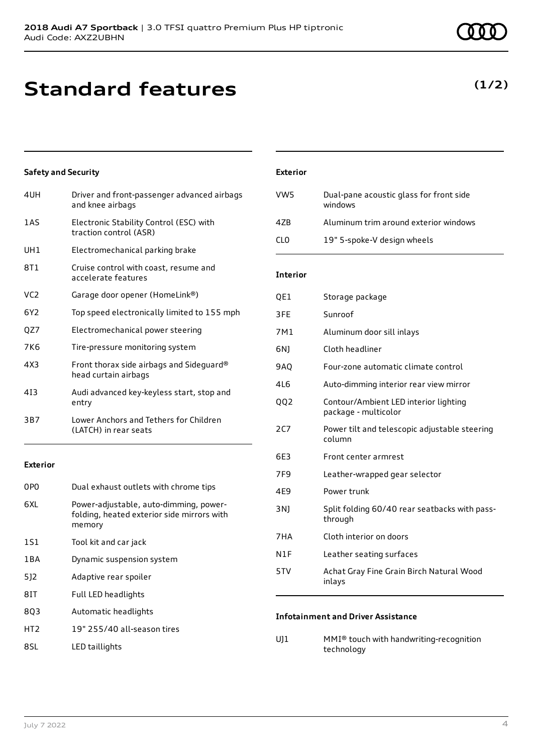# **Standard features**

## **Safety and Security**

| 4UH             | Driver and front-passenger advanced airbags<br>and knee airbags   |
|-----------------|-------------------------------------------------------------------|
| 1AS             | Electronic Stability Control (ESC) with<br>traction control (ASR) |
| UH1             | Electromechanical parking brake                                   |
| 8T1             | Cruise control with coast, resume and<br>accelerate features      |
| VC <sub>2</sub> | Garage door opener (HomeLink®)                                    |
| 6Y2             | Top speed electronically limited to 155 mph                       |
| QZ7             | Electromechanical power steering                                  |
| 7K6             | Tire-pressure monitoring system                                   |
| 4X3             | Front thorax side airbags and Sideguard®<br>head curtain airbags  |
| 413             | Audi advanced key-keyless start, stop and<br>entry                |
| 3B7             | Lower Anchors and Tethers for Children<br>(LATCH) in rear seats   |

## **Exterior**

| 0PO             | Dual exhaust outlets with chrome tips                                                          |
|-----------------|------------------------------------------------------------------------------------------------|
| 6XL             | Power-adjustable, auto-dimming, power-<br>folding, heated exterior side mirrors with<br>memory |
| 1S1             | Tool kit and car jack                                                                          |
| 1 B A           | Dynamic suspension system                                                                      |
| 512             | Adaptive rear spoiler                                                                          |
| 81T             | Full LED headlights                                                                            |
| 803             | Automatic headlights                                                                           |
| HT <sub>2</sub> | 19" 255/40 all-season tires                                                                    |
| 8SL             | LED taillights                                                                                 |

| <b>Exterior</b> |                                                    |
|-----------------|----------------------------------------------------|
| VW5             | Dual-pane acoustic glass for front side<br>windows |
| 47B             | Aluminum trim around exterior windows              |
| 71 O            | 19" 5-spoke-V design wheels                        |

## **Interior**

| QE1   | Storage package                                               |
|-------|---------------------------------------------------------------|
| 3FE   | Sunroof                                                       |
| 7M1   | Aluminum door sill inlays                                     |
| 6N)   | Cloth headliner                                               |
| 9AO   | Four-zone automatic climate control                           |
| 4L6   | Auto-dimming interior rear view mirror                        |
| QQ2   | Contour/Ambient LED interior lighting<br>package - multicolor |
| 2C7   | Power tilt and telescopic adjustable steering<br>column       |
| 6F3   | Front center armrest                                          |
| 7F9   | Leather-wrapped gear selector                                 |
| 4E9   | Power trunk                                                   |
| 3 N J | Split folding 60/40 rear seatbacks with pass-<br>through      |
| 7HA   | Cloth interior on doors                                       |
| N1F   | Leather seating surfaces                                      |
| 5TV   | Achat Gray Fine Grain Birch Natural Wood<br>inlays            |

## **Infotainment and Driver Assistance**

UJ1 MMI® touch with handwriting-recognition technology

**(1/2)**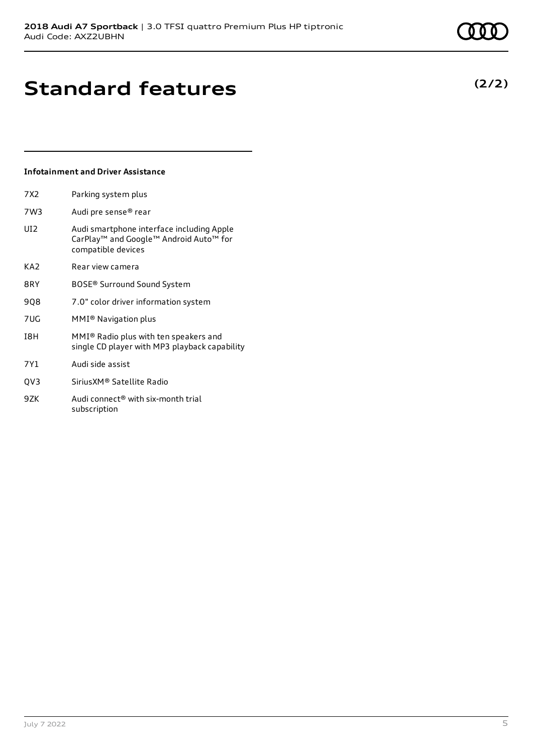## **Infotainment and Driver Assistance**

| 7X2             | Parking system plus                                                                                                               |
|-----------------|-----------------------------------------------------------------------------------------------------------------------------------|
| 7W3             | Audi pre sense® rear                                                                                                              |
| UI2             | Audi smartphone interface including Apple<br>CarPlay <sup>™</sup> and Google™ Android Auto <sup>™</sup> for<br>compatible devices |
| KA2             | Rear view camera                                                                                                                  |
| 8RY             | BOSE® Surround Sound System                                                                                                       |
| 908             | 7.0" color driver information system                                                                                              |
| 7UG             | MMI® Navigation plus                                                                                                              |
| I8H             | MMI® Radio plus with ten speakers and<br>single CD player with MP3 playback capability                                            |
| 7Y1             | Audi side assist                                                                                                                  |
| OV <sub>3</sub> | SiriusXM® Satellite Radio                                                                                                         |
|                 |                                                                                                                                   |

9ZK Audi connect<sup>®</sup> with six-month trial subscription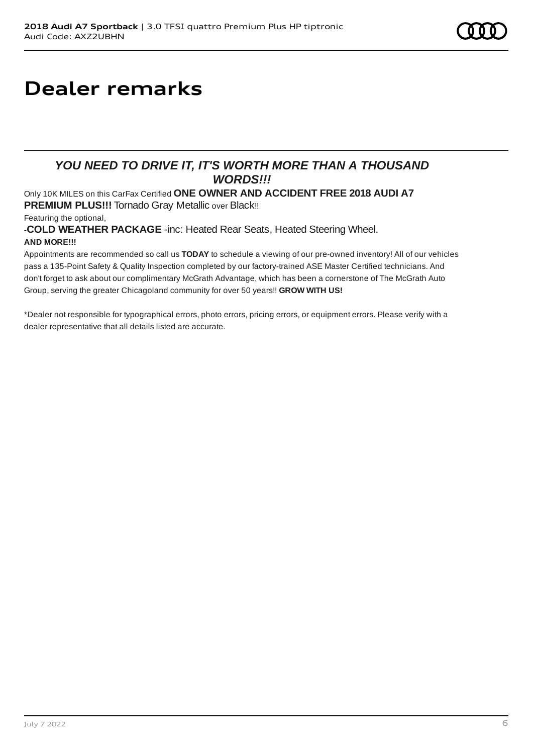# **Dealer remarks**

# *YOU NEED TO DRIVE IT, IT'S WORTH MORE THAN A THOUSAND WORDS!!!*

Only 10K MILES on this CarFax Certified **ONE OWNER AND ACCIDENT FREE 2018 AUDI A7 PREMIUM PLUS!!!** Tornado Gray Metallic over Black!!

Featuring the optional,

**-COLD WEATHER PACKAGE** -inc: Heated Rear Seats, Heated Steering Wheel. **AND MORE!!!**

Appointments are recommended so call us **TODAY** to schedule a viewing of our pre-owned inventory! All of our vehicles pass a 135-Point Safety & Quality Inspection completed by our factory-trained ASE Master Certified technicians. And don't forget to ask about our complimentary McGrath Advantage, which has been a cornerstone of The McGrath Auto Group, serving the greater Chicagoland community for over 50 years!! **GROW WITH US!**

\*Dealer not responsible for typographical errors, photo errors, pricing errors, or equipment errors. Please verify with a dealer representative that all details listed are accurate.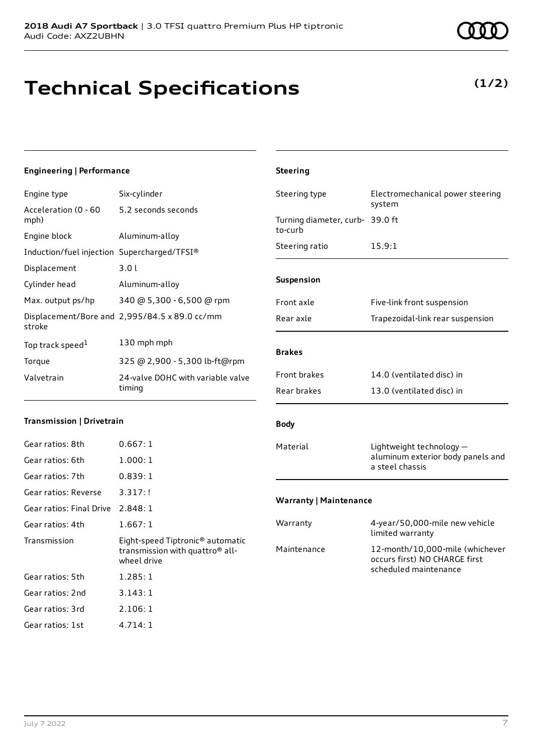# **Technical Specifications**

# **Engineering | Performance**

| Engine type                                 | Six-cylinder                                  |
|---------------------------------------------|-----------------------------------------------|
| Acceleration (0 - 60<br>mph)                | 5.2 seconds seconds                           |
| Engine block                                | Aluminum-alloy                                |
| Induction/fuel injection Supercharged/TFSI® |                                               |
| Displacement                                | 3.0l                                          |
| Cylinder head                               | Aluminum-alloy                                |
| Max. output ps/hp                           | 340 @ 5,300 - 6,500 @ rpm                     |
| stroke                                      | Displacement/Bore and 2,995/84.5 x 89.0 cc/mm |
| Top track speed <sup>1</sup>                | 130 mph mph                                   |
| Torque                                      | 325 @ 2,900 - 5,300 lb-ft@rpm                 |
| Valvetrain                                  | 24-valve DOHC with variable valve<br>timing   |
|                                             |                                               |

### **Transmission | Drivetrain**

| Gear ratios: 8th                  | 0.667:1                                                                                                    |
|-----------------------------------|------------------------------------------------------------------------------------------------------------|
| Gear ratios: 6th                  | 1.000:1                                                                                                    |
| Gear ratios: 7th                  | 0.839:1                                                                                                    |
| Gear ratios: Reverse              | 3.317:!                                                                                                    |
| Gear ratios: Final Drive 2.848: 1 |                                                                                                            |
| Gear ratios: 4th                  | 1.667:1                                                                                                    |
|                                   |                                                                                                            |
| Transmission                      | Eight-speed Tiptronic <sup>®</sup> automatic<br>transmission with quattro <sup>®</sup> all-<br>wheel drive |
| Gear ratios: 5th                  | 1.285:1                                                                                                    |
| Gear ratios: 2nd                  | 3.143:1                                                                                                    |
| Gear ratios: 3rd                  | 2.106:1                                                                                                    |

# Steering type Electromechanical power steering system Turning diameter, curb-39.0 ft to-curb Steering ratio 15.9:1 **Suspension** Front axle Five-link front suspension Rear axle Trapezoidal-link rear suspension **Brakes** Front brakes 14.0 (ventilated disc) in Rear brakes 13.0 (ventilated disc) in **Body** Material Lightweight technology aluminum exterior body panels and a steel chassis

**Steering**

## **Warranty | Maintenance**

| Warranty    | 4-year/50,000-mile new vehicle<br>limited warranty                                        |
|-------------|-------------------------------------------------------------------------------------------|
| Maintenance | 12-month/10,000-mile (whichever<br>occurs first) NO CHARGE first<br>scheduled maintenance |

# **(1/2)**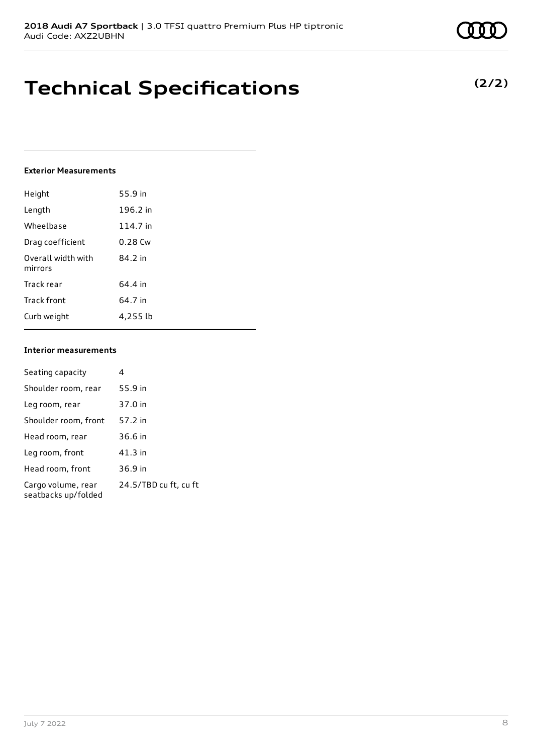# **Technical Specifications**

## **Exterior Measurements**

| Height                        | 55.9 in   |
|-------------------------------|-----------|
| Length                        | 196.2 in  |
| Wheelbase                     | 114.7 in  |
| Drag coefficient              | $0.28$ Cw |
| Overall width with<br>mirrors | 84.2 in   |
| Track rear                    | 64.4 in   |
| Track front                   | 64.7 in   |
| Curb weight                   | 4,255 lb  |

## **Interior measurements**

| Seating capacity                          | 4                     |
|-------------------------------------------|-----------------------|
| Shoulder room, rear                       | 55.9 in               |
| Leg room, rear                            | 37.0 in               |
| Shoulder room, front                      | 57.2 in               |
| Head room, rear                           | 36.6 in               |
| Leg room, front                           | 41.3 in               |
| Head room, front                          | 36.9 in               |
| Cargo volume, rear<br>seatbacks up/folded | 24.5/TBD cu ft, cu ft |

**(2/2)**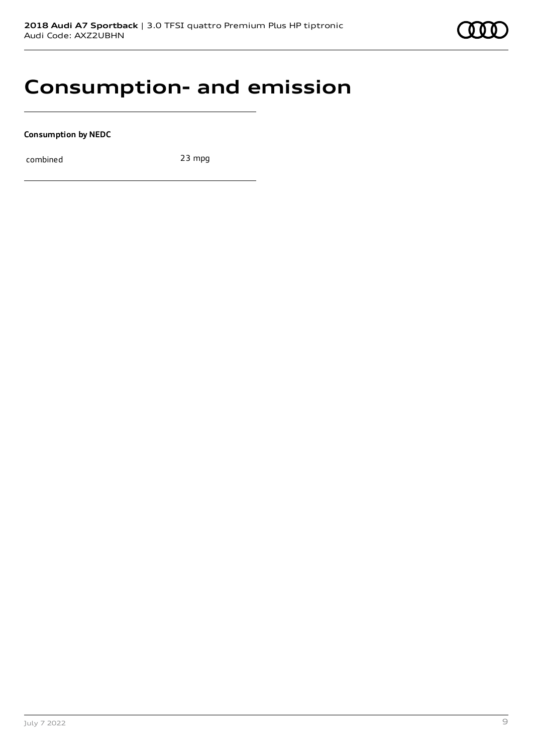

# **Consumption- and emission**

**Consumption by NEDC**

combined 23 mpg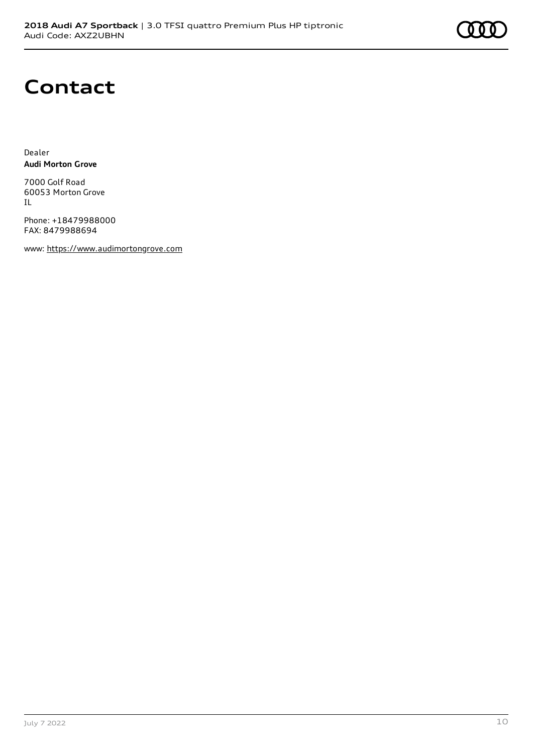# **Contact**

Dealer **Audi Morton Grove**

7000 Golf Road 60053 Morton Grove IL

Phone: +18479988000 FAX: 8479988694

www: [https://www.audimortongrove.com](https://www.audimortongrove.com/)